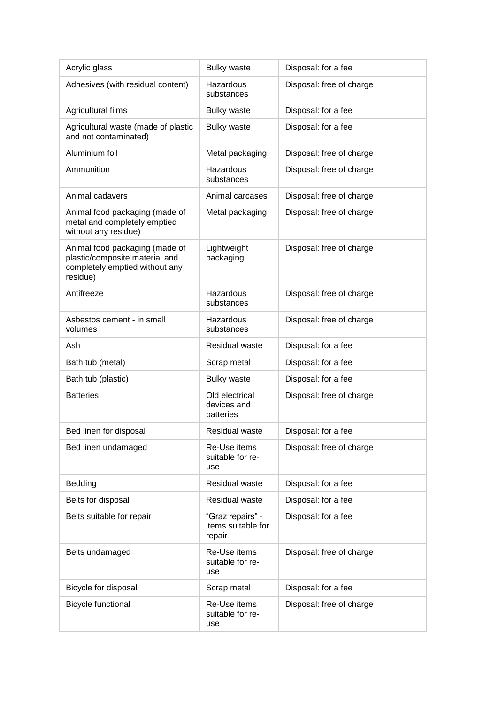| Acrylic glass                                                                                                  | <b>Bulky waste</b>                               | Disposal: for a fee      |
|----------------------------------------------------------------------------------------------------------------|--------------------------------------------------|--------------------------|
| Adhesives (with residual content)                                                                              | Hazardous<br>substances                          | Disposal: free of charge |
| Agricultural films                                                                                             | <b>Bulky waste</b>                               | Disposal: for a fee      |
| Agricultural waste (made of plastic<br>and not contaminated)                                                   | <b>Bulky waste</b>                               | Disposal: for a fee      |
| Aluminium foil                                                                                                 | Metal packaging                                  | Disposal: free of charge |
| Ammunition                                                                                                     | Hazardous<br>substances                          | Disposal: free of charge |
| Animal cadavers                                                                                                | Animal carcases                                  | Disposal: free of charge |
| Animal food packaging (made of<br>metal and completely emptied<br>without any residue)                         | Metal packaging                                  | Disposal: free of charge |
| Animal food packaging (made of<br>plastic/composite material and<br>completely emptied without any<br>residue) | Lightweight<br>packaging                         | Disposal: free of charge |
| Antifreeze                                                                                                     | Hazardous<br>substances                          | Disposal: free of charge |
| Asbestos cement - in small<br>volumes                                                                          | Hazardous<br>substances                          | Disposal: free of charge |
| Ash                                                                                                            | <b>Residual waste</b>                            | Disposal: for a fee      |
| Bath tub (metal)                                                                                               | Scrap metal                                      | Disposal: for a fee      |
| Bath tub (plastic)                                                                                             | <b>Bulky waste</b>                               | Disposal: for a fee      |
| <b>Batteries</b>                                                                                               | Old electrical<br>devices and<br>batteries       | Disposal: free of charge |
| Bed linen for disposal                                                                                         | Residual waste                                   | Disposal: for a fee      |
| Bed linen undamaged                                                                                            | Re-Use items<br>suitable for re-<br>use          | Disposal: free of charge |
| Bedding                                                                                                        | Residual waste                                   | Disposal: for a fee      |
| Belts for disposal                                                                                             | Residual waste                                   | Disposal: for a fee      |
| Belts suitable for repair                                                                                      | "Graz repairs" -<br>items suitable for<br>repair | Disposal: for a fee      |
| Belts undamaged                                                                                                | Re-Use items<br>suitable for re-<br>use          | Disposal: free of charge |
| Bicycle for disposal                                                                                           | Scrap metal                                      | Disposal: for a fee      |
| <b>Bicycle functional</b>                                                                                      | Re-Use items<br>suitable for re-<br>use          | Disposal: free of charge |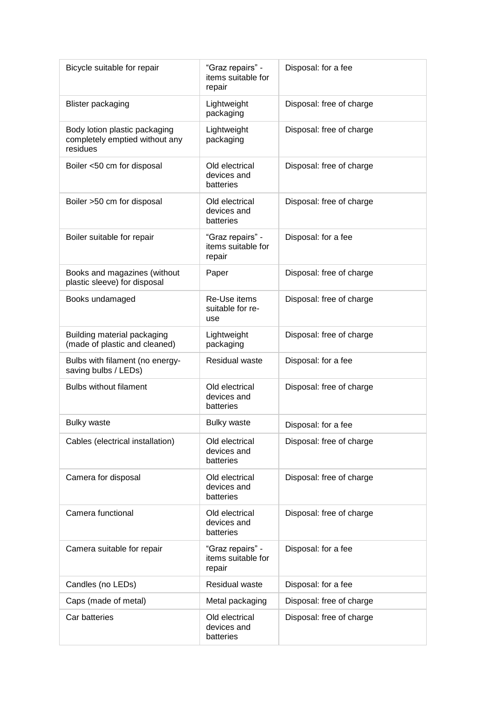| Bicycle suitable for repair                                                 | "Graz repairs" -<br>items suitable for<br>repair | Disposal: for a fee      |
|-----------------------------------------------------------------------------|--------------------------------------------------|--------------------------|
| <b>Blister packaging</b>                                                    | Lightweight<br>packaging                         | Disposal: free of charge |
| Body lotion plastic packaging<br>completely emptied without any<br>residues | Lightweight<br>packaging                         | Disposal: free of charge |
| Boiler <50 cm for disposal                                                  | Old electrical<br>devices and<br>batteries       | Disposal: free of charge |
| Boiler >50 cm for disposal                                                  | Old electrical<br>devices and<br>batteries       | Disposal: free of charge |
| Boiler suitable for repair                                                  | "Graz repairs" -<br>items suitable for<br>repair | Disposal: for a fee      |
| Books and magazines (without<br>plastic sleeve) for disposal                | Paper                                            | Disposal: free of charge |
| Books undamaged                                                             | Re-Use items<br>suitable for re-<br>use          | Disposal: free of charge |
| Building material packaging<br>(made of plastic and cleaned)                | Lightweight<br>packaging                         | Disposal: free of charge |
| Bulbs with filament (no energy-<br>saving bulbs / LEDs)                     | Residual waste                                   | Disposal: for a fee      |
| <b>Bulbs without filament</b>                                               | Old electrical<br>devices and<br>batteries       | Disposal: free of charge |
| <b>Bulky waste</b>                                                          | <b>Bulky waste</b>                               | Disposal: for a fee      |
| Cables (electrical installation)                                            | Old electrical<br>devices and<br>batteries       | Disposal: free of charge |
| Camera for disposal                                                         | Old electrical<br>devices and<br>batteries       | Disposal: free of charge |
| Camera functional                                                           | Old electrical<br>devices and<br>batteries       | Disposal: free of charge |
| Camera suitable for repair                                                  | "Graz repairs" -<br>items suitable for<br>repair | Disposal: for a fee      |
| Candles (no LEDs)                                                           | Residual waste                                   | Disposal: for a fee      |
| Caps (made of metal)                                                        | Metal packaging                                  | Disposal: free of charge |
| Car batteries                                                               | Old electrical<br>devices and<br>batteries       | Disposal: free of charge |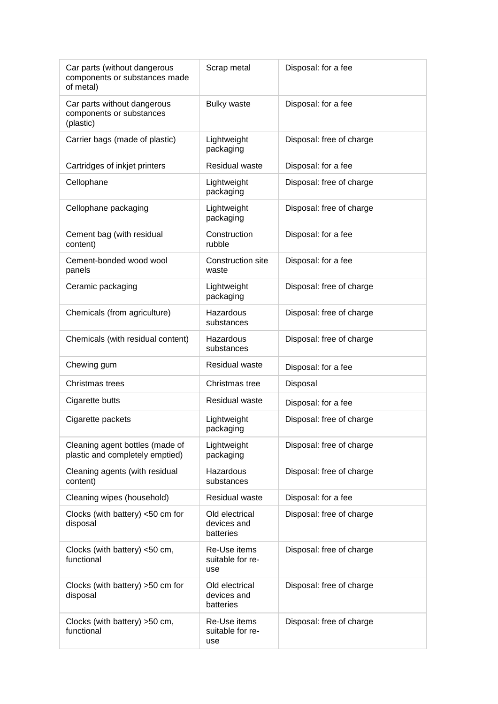| Car parts (without dangerous<br>components or substances made<br>of metal) | Scrap metal                                | Disposal: for a fee      |
|----------------------------------------------------------------------------|--------------------------------------------|--------------------------|
| Car parts without dangerous<br>components or substances<br>(plastic)       | <b>Bulky waste</b>                         | Disposal: for a fee      |
| Carrier bags (made of plastic)                                             | Lightweight<br>packaging                   | Disposal: free of charge |
| Cartridges of inkjet printers                                              | Residual waste                             | Disposal: for a fee      |
| Cellophane                                                                 | Lightweight<br>packaging                   | Disposal: free of charge |
| Cellophane packaging                                                       | Lightweight<br>packaging                   | Disposal: free of charge |
| Cement bag (with residual<br>content)                                      | Construction<br>rubble                     | Disposal: for a fee      |
| Cement-bonded wood wool<br>panels                                          | <b>Construction site</b><br>waste          | Disposal: for a fee      |
| Ceramic packaging                                                          | Lightweight<br>packaging                   | Disposal: free of charge |
| Chemicals (from agriculture)                                               | Hazardous<br>substances                    | Disposal: free of charge |
| Chemicals (with residual content)                                          | Hazardous<br>substances                    | Disposal: free of charge |
| Chewing gum                                                                | <b>Residual waste</b>                      | Disposal: for a fee      |
| Christmas trees                                                            | Christmas tree                             | Disposal                 |
| Cigarette butts                                                            | <b>Residual waste</b>                      | Disposal: for a fee      |
| Cigarette packets                                                          | Lightweight<br>packaging                   | Disposal: free of charge |
| Cleaning agent bottles (made of<br>plastic and completely emptied)         | Lightweight<br>packaging                   | Disposal: free of charge |
| Cleaning agents (with residual<br>content)                                 | <b>Hazardous</b><br>substances             | Disposal: free of charge |
| Cleaning wipes (household)                                                 | <b>Residual waste</b>                      | Disposal: for a fee      |
| Clocks (with battery) <50 cm for<br>disposal                               | Old electrical<br>devices and<br>batteries | Disposal: free of charge |
| Clocks (with battery) <50 cm,<br>functional                                | Re-Use items<br>suitable for re-<br>use    | Disposal: free of charge |
| Clocks (with battery) >50 cm for<br>disposal                               | Old electrical<br>devices and<br>batteries | Disposal: free of charge |
| Clocks (with battery) > 50 cm,<br>functional                               | Re-Use items<br>suitable for re-<br>use    | Disposal: free of charge |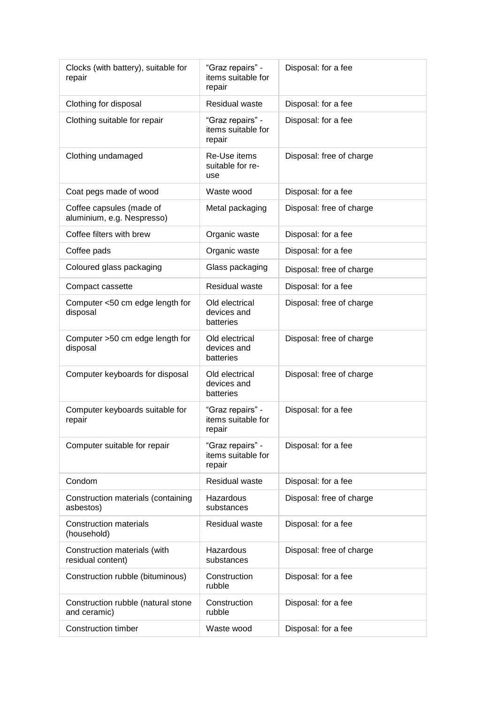| Clocks (with battery), suitable for<br>repair          | "Graz repairs" -<br>items suitable for<br>repair | Disposal: for a fee      |
|--------------------------------------------------------|--------------------------------------------------|--------------------------|
| Clothing for disposal                                  | <b>Residual waste</b>                            | Disposal: for a fee      |
| Clothing suitable for repair                           | "Graz repairs" -<br>items suitable for<br>repair | Disposal: for a fee      |
| Clothing undamaged                                     | Re-Use items<br>suitable for re-<br>use          | Disposal: free of charge |
| Coat pegs made of wood                                 | Waste wood                                       | Disposal: for a fee      |
| Coffee capsules (made of<br>aluminium, e.g. Nespresso) | Metal packaging                                  | Disposal: free of charge |
| Coffee filters with brew                               | Organic waste                                    | Disposal: for a fee      |
| Coffee pads                                            | Organic waste                                    | Disposal: for a fee      |
| Coloured glass packaging                               | Glass packaging                                  | Disposal: free of charge |
| Compact cassette                                       | Residual waste                                   | Disposal: for a fee      |
| Computer <50 cm edge length for<br>disposal            | Old electrical<br>devices and<br>batteries       | Disposal: free of charge |
| Computer >50 cm edge length for<br>disposal            | Old electrical<br>devices and<br>batteries       | Disposal: free of charge |
| Computer keyboards for disposal                        | Old electrical<br>devices and<br>batteries       | Disposal: free of charge |
| Computer keyboards suitable for<br>repair              | "Graz repairs" -<br>items suitable for<br>repair | Disposal: for a fee      |
| Computer suitable for repair                           | "Graz repairs" -<br>items suitable for<br>repair | Disposal: for a fee      |
| Condom                                                 | <b>Residual waste</b>                            | Disposal: for a fee      |
| Construction materials (containing<br>asbestos)        | Hazardous<br>substances                          | Disposal: free of charge |
| <b>Construction materials</b><br>(household)           | <b>Residual waste</b>                            | Disposal: for a fee      |
| Construction materials (with<br>residual content)      | Hazardous<br>substances                          | Disposal: free of charge |
| Construction rubble (bituminous)                       | Construction<br>rubble                           | Disposal: for a fee      |
| Construction rubble (natural stone<br>and ceramic)     | Construction<br>rubble                           | Disposal: for a fee      |
| <b>Construction timber</b>                             | Waste wood                                       | Disposal: for a fee      |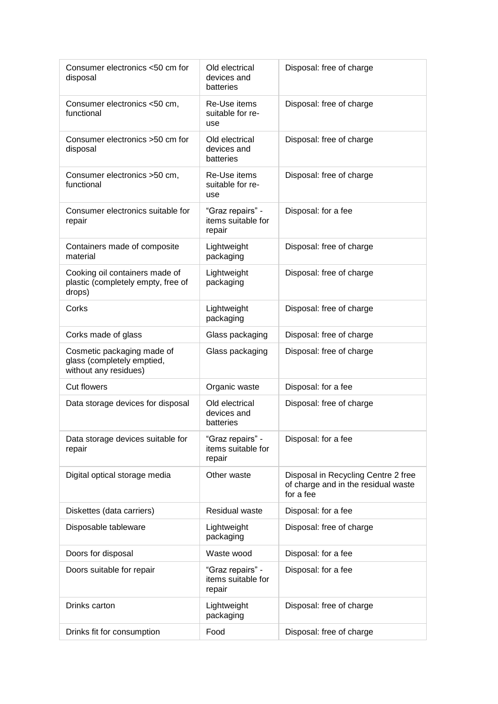| Consumer electronics <50 cm for<br>disposal                                       | Old electrical<br>devices and<br>batteries       | Disposal: free of charge                                                                |
|-----------------------------------------------------------------------------------|--------------------------------------------------|-----------------------------------------------------------------------------------------|
| Consumer electronics <50 cm,<br>functional                                        | Re-Use items<br>suitable for re-<br>use          | Disposal: free of charge                                                                |
| Consumer electronics > 50 cm for<br>disposal                                      | Old electrical<br>devices and<br>batteries       | Disposal: free of charge                                                                |
| Consumer electronics >50 cm,<br>functional                                        | Re-Use items<br>suitable for re-<br>use          | Disposal: free of charge                                                                |
| Consumer electronics suitable for<br>repair                                       | "Graz repairs" -<br>items suitable for<br>repair | Disposal: for a fee                                                                     |
| Containers made of composite<br>material                                          | Lightweight<br>packaging                         | Disposal: free of charge                                                                |
| Cooking oil containers made of<br>plastic (completely empty, free of<br>drops)    | Lightweight<br>packaging                         | Disposal: free of charge                                                                |
| Corks                                                                             | Lightweight<br>packaging                         | Disposal: free of charge                                                                |
| Corks made of glass                                                               | Glass packaging                                  | Disposal: free of charge                                                                |
| Cosmetic packaging made of<br>glass (completely emptied,<br>without any residues) | Glass packaging                                  | Disposal: free of charge                                                                |
| <b>Cut flowers</b>                                                                | Organic waste                                    | Disposal: for a fee                                                                     |
| Data storage devices for disposal                                                 | Old electrical<br>devices and<br>batteries       | Disposal: free of charge                                                                |
| Data storage devices suitable for<br>repair                                       | "Graz repairs" -<br>items suitable for<br>repair | Disposal: for a fee                                                                     |
| Digital optical storage media                                                     | Other waste                                      | Disposal in Recycling Centre 2 free<br>of charge and in the residual waste<br>for a fee |
| Diskettes (data carriers)                                                         | Residual waste                                   | Disposal: for a fee                                                                     |
| Disposable tableware                                                              | Lightweight<br>packaging                         | Disposal: free of charge                                                                |
| Doors for disposal                                                                | Waste wood                                       | Disposal: for a fee                                                                     |
| Doors suitable for repair                                                         | "Graz repairs" -<br>items suitable for<br>repair | Disposal: for a fee                                                                     |
| Drinks carton                                                                     | Lightweight<br>packaging                         | Disposal: free of charge                                                                |
| Drinks fit for consumption                                                        | Food                                             | Disposal: free of charge                                                                |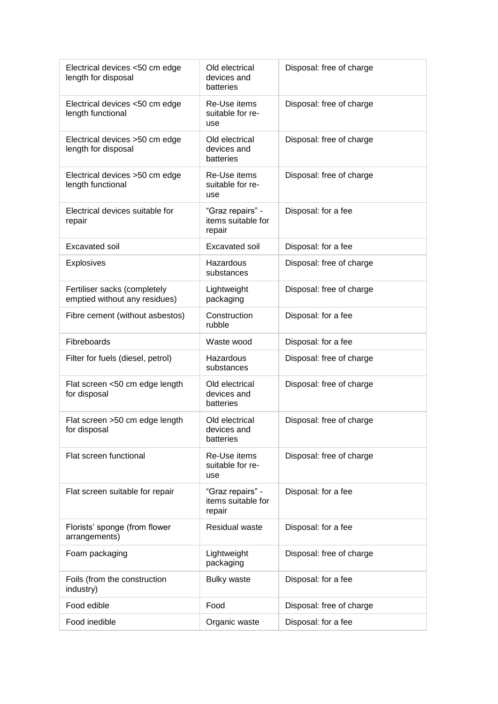| Electrical devices <50 cm edge<br>length for disposal         | Old electrical<br>devices and<br>batteries       | Disposal: free of charge |
|---------------------------------------------------------------|--------------------------------------------------|--------------------------|
| Electrical devices <50 cm edge<br>length functional           | Re-Use items<br>suitable for re-<br>use          | Disposal: free of charge |
| Electrical devices >50 cm edge<br>length for disposal         | Old electrical<br>devices and<br>batteries       | Disposal: free of charge |
| Electrical devices >50 cm edge<br>length functional           | Re-Use items<br>suitable for re-<br>use          | Disposal: free of charge |
| Electrical devices suitable for<br>repair                     | "Graz repairs" -<br>items suitable for<br>repair | Disposal: for a fee      |
| <b>Excavated soil</b>                                         | <b>Excavated soil</b>                            | Disposal: for a fee      |
| <b>Explosives</b>                                             | Hazardous<br>substances                          | Disposal: free of charge |
| Fertiliser sacks (completely<br>emptied without any residues) | Lightweight<br>packaging                         | Disposal: free of charge |
| Fibre cement (without asbestos)                               | Construction<br>rubble                           | Disposal: for a fee      |
| Fibreboards                                                   | Waste wood                                       | Disposal: for a fee      |
| Filter for fuels (diesel, petrol)                             | Hazardous<br>substances                          | Disposal: free of charge |
| Flat screen <50 cm edge length<br>for disposal                | Old electrical<br>devices and<br>batteries       | Disposal: free of charge |
| Flat screen >50 cm edge length<br>for disposal                | Old electrical<br>devices and<br>batteries       | Disposal: free of charge |
| Flat screen functional                                        | Re-Use items<br>suitable for re-<br>use          | Disposal: free of charge |
| Flat screen suitable for repair                               | "Graz repairs" -<br>items suitable for<br>repair | Disposal: for a fee      |
| Florists' sponge (from flower<br>arrangements)                | <b>Residual waste</b>                            | Disposal: for a fee      |
| Foam packaging                                                | Lightweight<br>packaging                         | Disposal: free of charge |
| Foils (from the construction<br>industry)                     | <b>Bulky waste</b>                               | Disposal: for a fee      |
| Food edible                                                   | Food                                             | Disposal: free of charge |
| Food inedible                                                 | Organic waste                                    | Disposal: for a fee      |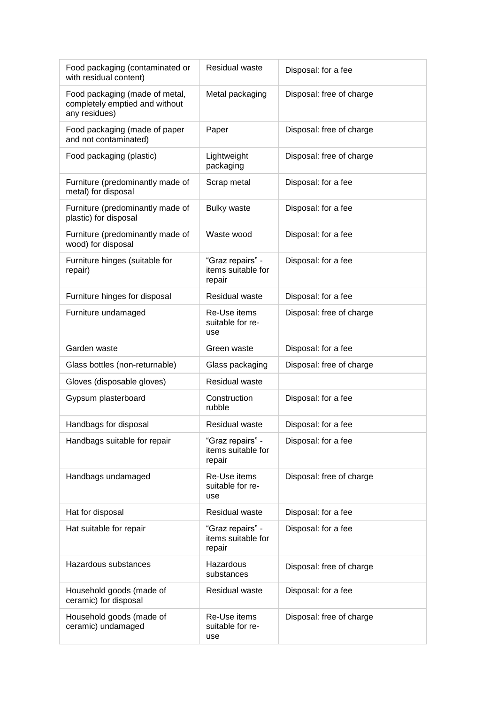| Food packaging (contaminated or<br>with residual content)                         | Residual waste                                   | Disposal: for a fee      |
|-----------------------------------------------------------------------------------|--------------------------------------------------|--------------------------|
| Food packaging (made of metal,<br>completely emptied and without<br>any residues) | Metal packaging                                  | Disposal: free of charge |
| Food packaging (made of paper<br>and not contaminated)                            | Paper                                            | Disposal: free of charge |
| Food packaging (plastic)                                                          | Lightweight<br>packaging                         | Disposal: free of charge |
| Furniture (predominantly made of<br>metal) for disposal                           | Scrap metal                                      | Disposal: for a fee      |
| Furniture (predominantly made of<br>plastic) for disposal                         | <b>Bulky waste</b>                               | Disposal: for a fee      |
| Furniture (predominantly made of<br>wood) for disposal                            | Waste wood                                       | Disposal: for a fee      |
| Furniture hinges (suitable for<br>repair)                                         | "Graz repairs" -<br>items suitable for<br>repair | Disposal: for a fee      |
| Furniture hinges for disposal                                                     | Residual waste                                   | Disposal: for a fee      |
| Furniture undamaged                                                               | Re-Use items<br>suitable for re-<br>use          | Disposal: free of charge |
| Garden waste                                                                      | Green waste                                      | Disposal: for a fee      |
| Glass bottles (non-returnable)                                                    | Glass packaging                                  | Disposal: free of charge |
| Gloves (disposable gloves)                                                        | <b>Residual waste</b>                            |                          |
| Gypsum plasterboard                                                               | Construction<br>rubble                           | Disposal: for a fee      |
| Handbags for disposal                                                             | <b>Residual waste</b>                            | Disposal: for a fee      |
| Handbags suitable for repair                                                      | "Graz repairs" -<br>items suitable for<br>repair | Disposal: for a fee      |
| Handbags undamaged                                                                | Re-Use items<br>suitable for re-<br>use          | Disposal: free of charge |
| Hat for disposal                                                                  | Residual waste                                   | Disposal: for a fee      |
| Hat suitable for repair                                                           | "Graz repairs" -<br>items suitable for<br>repair | Disposal: for a fee      |
| Hazardous substances                                                              | Hazardous<br>substances                          | Disposal: free of charge |
| Household goods (made of<br>ceramic) for disposal                                 | Residual waste                                   | Disposal: for a fee      |
| Household goods (made of<br>ceramic) undamaged                                    | Re-Use items<br>suitable for re-<br>use          | Disposal: free of charge |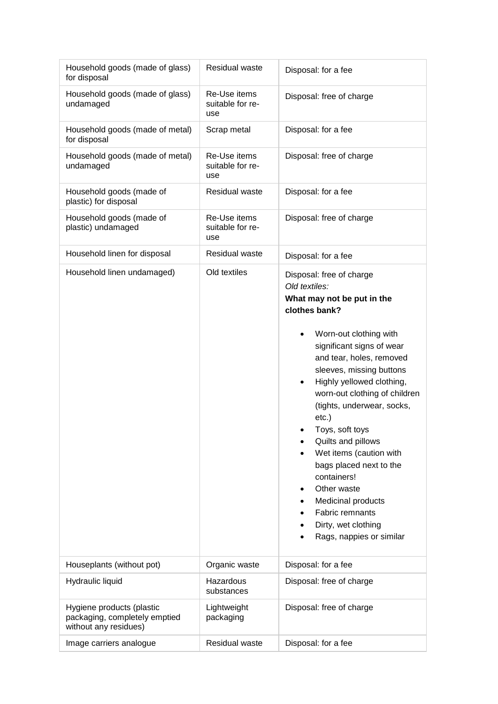| Household goods (made of glass)<br>for disposal                                     | Residual waste                          | Disposal: for a fee                                                                                                                                                                                                                                                                                                                                                                                                                                                                                                                                                                  |
|-------------------------------------------------------------------------------------|-----------------------------------------|--------------------------------------------------------------------------------------------------------------------------------------------------------------------------------------------------------------------------------------------------------------------------------------------------------------------------------------------------------------------------------------------------------------------------------------------------------------------------------------------------------------------------------------------------------------------------------------|
| Household goods (made of glass)<br>undamaged                                        | Re-Use items<br>suitable for re-<br>use | Disposal: free of charge                                                                                                                                                                                                                                                                                                                                                                                                                                                                                                                                                             |
| Household goods (made of metal)<br>for disposal                                     | Scrap metal                             | Disposal: for a fee                                                                                                                                                                                                                                                                                                                                                                                                                                                                                                                                                                  |
| Household goods (made of metal)<br>undamaged                                        | Re-Use items<br>suitable for re-<br>use | Disposal: free of charge                                                                                                                                                                                                                                                                                                                                                                                                                                                                                                                                                             |
| Household goods (made of<br>plastic) for disposal                                   | <b>Residual waste</b>                   | Disposal: for a fee                                                                                                                                                                                                                                                                                                                                                                                                                                                                                                                                                                  |
| Household goods (made of<br>plastic) undamaged                                      | Re-Use items<br>suitable for re-<br>use | Disposal: free of charge                                                                                                                                                                                                                                                                                                                                                                                                                                                                                                                                                             |
| Household linen for disposal                                                        | <b>Residual waste</b>                   | Disposal: for a fee                                                                                                                                                                                                                                                                                                                                                                                                                                                                                                                                                                  |
| Household linen undamaged)                                                          | Old textiles                            | Disposal: free of charge<br>Old textiles:<br>What may not be put in the<br>clothes bank?<br>Worn-out clothing with<br>$\bullet$<br>significant signs of wear<br>and tear, holes, removed<br>sleeves, missing buttons<br>Highly yellowed clothing,<br>$\bullet$<br>worn-out clothing of children<br>(tights, underwear, socks,<br>$etc.$ )<br>Toys, soft toys<br>Quilts and pillows<br>Wet items (caution with<br>bags placed next to the<br>containers!<br>Other waste<br>$\bullet$<br>Medicinal products<br>٠<br>Fabric remnants<br>Dirty, wet clothing<br>Rags, nappies or similar |
| Houseplants (without pot)                                                           | Organic waste                           | Disposal: for a fee                                                                                                                                                                                                                                                                                                                                                                                                                                                                                                                                                                  |
| Hydraulic liquid                                                                    | Hazardous<br>substances                 | Disposal: free of charge                                                                                                                                                                                                                                                                                                                                                                                                                                                                                                                                                             |
| Hygiene products (plastic<br>packaging, completely emptied<br>without any residues) | Lightweight<br>packaging                | Disposal: free of charge                                                                                                                                                                                                                                                                                                                                                                                                                                                                                                                                                             |
| Image carriers analogue                                                             | Residual waste                          | Disposal: for a fee                                                                                                                                                                                                                                                                                                                                                                                                                                                                                                                                                                  |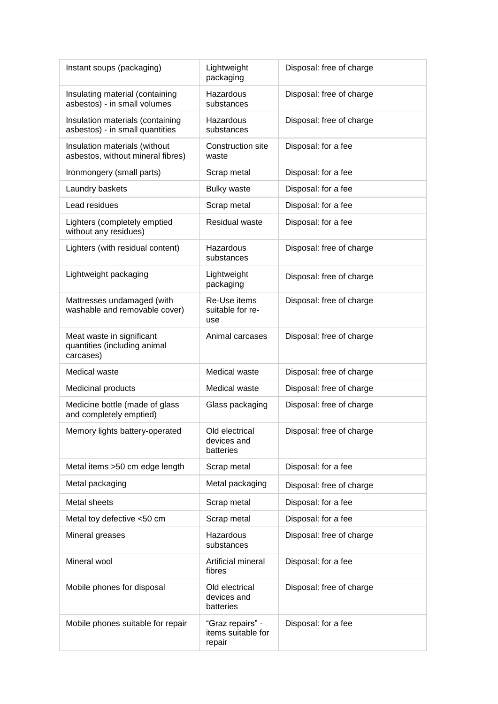| Instant soups (packaging)                                              | Lightweight<br>packaging                         | Disposal: free of charge |
|------------------------------------------------------------------------|--------------------------------------------------|--------------------------|
| Insulating material (containing<br>asbestos) - in small volumes        | Hazardous<br>substances                          | Disposal: free of charge |
| Insulation materials (containing<br>asbestos) - in small quantities    | Hazardous<br>substances                          | Disposal: free of charge |
| Insulation materials (without<br>asbestos, without mineral fibres)     | Construction site<br>waste                       | Disposal: for a fee      |
| Ironmongery (small parts)                                              | Scrap metal                                      | Disposal: for a fee      |
| Laundry baskets                                                        | <b>Bulky waste</b>                               | Disposal: for a fee      |
| Lead residues                                                          | Scrap metal                                      | Disposal: for a fee      |
| Lighters (completely emptied<br>without any residues)                  | <b>Residual waste</b>                            | Disposal: for a fee      |
| Lighters (with residual content)                                       | Hazardous<br>substances                          | Disposal: free of charge |
| Lightweight packaging                                                  | Lightweight<br>packaging                         | Disposal: free of charge |
| Mattresses undamaged (with<br>washable and removable cover)            | Re-Use items<br>suitable for re-<br>use          | Disposal: free of charge |
| Meat waste in significant<br>quantities (including animal<br>carcases) | Animal carcases                                  | Disposal: free of charge |
| Medical waste                                                          | Medical waste                                    | Disposal: free of charge |
| Medicinal products                                                     | Medical waste                                    | Disposal: free of charge |
| Medicine bottle (made of glass<br>and completely emptied)              | Glass packaging                                  | Disposal: free of charge |
| Memory lights battery-operated                                         | Old electrical<br>devices and<br>batteries       | Disposal: free of charge |
| Metal items >50 cm edge length                                         | Scrap metal                                      | Disposal: for a fee      |
| Metal packaging                                                        | Metal packaging                                  | Disposal: free of charge |
| Metal sheets                                                           | Scrap metal                                      | Disposal: for a fee      |
| Metal toy defective <50 cm                                             | Scrap metal                                      | Disposal: for a fee      |
| Mineral greases                                                        | Hazardous<br>substances                          | Disposal: free of charge |
| Mineral wool                                                           | Artificial mineral<br>fibres                     | Disposal: for a fee      |
| Mobile phones for disposal                                             | Old electrical<br>devices and<br>batteries       | Disposal: free of charge |
| Mobile phones suitable for repair                                      | "Graz repairs" -<br>items suitable for<br>repair | Disposal: for a fee      |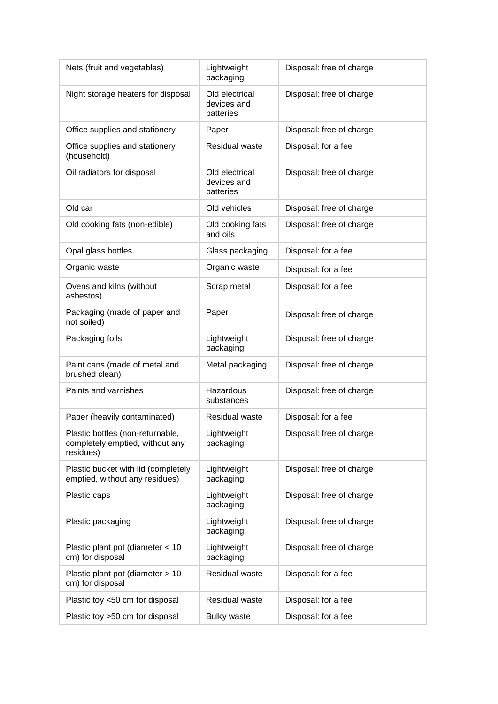| Nets (fruit and vegetables)                                                      | Lightweight<br>packaging                   | Disposal: free of charge |
|----------------------------------------------------------------------------------|--------------------------------------------|--------------------------|
| Night storage heaters for disposal                                               | Old electrical<br>devices and<br>batteries | Disposal: free of charge |
| Office supplies and stationery                                                   | Paper                                      | Disposal: free of charge |
| Office supplies and stationery<br>(household)                                    | <b>Residual waste</b>                      | Disposal: for a fee      |
| Oil radiators for disposal                                                       | Old electrical<br>devices and<br>batteries | Disposal: free of charge |
| Old car                                                                          | Old vehicles                               | Disposal: free of charge |
| Old cooking fats (non-edible)                                                    | Old cooking fats<br>and oils               | Disposal: free of charge |
| Opal glass bottles                                                               | Glass packaging                            | Disposal: for a fee      |
| Organic waste                                                                    | Organic waste                              | Disposal: for a fee      |
| Ovens and kilns (without<br>asbestos)                                            | Scrap metal                                | Disposal: for a fee      |
| Packaging (made of paper and<br>not soiled)                                      | Paper                                      | Disposal: free of charge |
| Packaging foils                                                                  | Lightweight<br>packaging                   | Disposal: free of charge |
| Paint cans (made of metal and<br>brushed clean)                                  | Metal packaging                            | Disposal: free of charge |
| Paints and varnishes                                                             | Hazardous<br>substances                    | Disposal: free of charge |
| Paper (heavily contaminated)                                                     | Residual waste                             | Disposal: for a fee      |
| Plastic bottles (non-returnable,<br>completely emptied, without any<br>residues) | Lightweight<br>packaging                   | Disposal: free of charge |
| Plastic bucket with lid (completely<br>emptied, without any residues)            | Lightweight<br>packaging                   | Disposal: free of charge |
| Plastic caps                                                                     | Lightweight<br>packaging                   | Disposal: free of charge |
| Plastic packaging                                                                | Lightweight<br>packaging                   | Disposal: free of charge |
| Plastic plant pot (diameter < 10<br>cm) for disposal                             | Lightweight<br>packaging                   | Disposal: free of charge |
| Plastic plant pot (diameter > 10<br>cm) for disposal                             | Residual waste                             | Disposal: for a fee      |
| Plastic toy <50 cm for disposal                                                  | Residual waste                             | Disposal: for a fee      |
| Plastic toy >50 cm for disposal                                                  | <b>Bulky waste</b>                         | Disposal: for a fee      |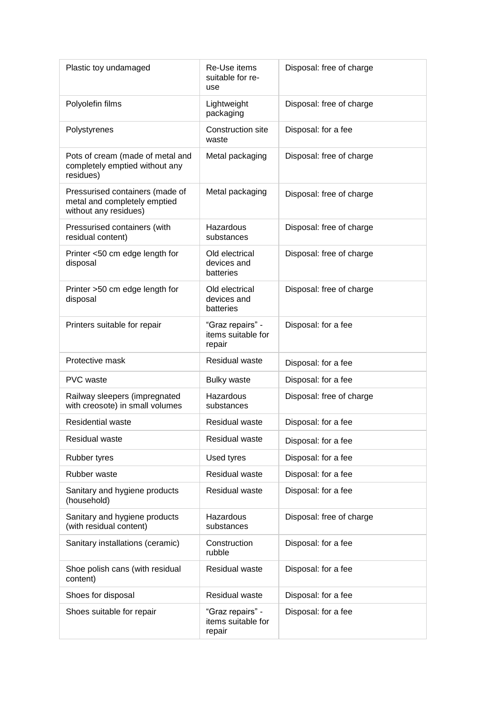| Plastic toy undamaged                                                                    | Re-Use items<br>suitable for re-<br>use          | Disposal: free of charge |
|------------------------------------------------------------------------------------------|--------------------------------------------------|--------------------------|
| Polyolefin films                                                                         | Lightweight<br>packaging                         | Disposal: free of charge |
| Polystyrenes                                                                             | Construction site<br>waste                       | Disposal: for a fee      |
| Pots of cream (made of metal and<br>completely emptied without any<br>residues)          | Metal packaging                                  | Disposal: free of charge |
| Pressurised containers (made of<br>metal and completely emptied<br>without any residues) | Metal packaging                                  | Disposal: free of charge |
| Pressurised containers (with<br>residual content)                                        | Hazardous<br>substances                          | Disposal: free of charge |
| Printer <50 cm edge length for<br>disposal                                               | Old electrical<br>devices and<br>batteries       | Disposal: free of charge |
| Printer >50 cm edge length for<br>disposal                                               | Old electrical<br>devices and<br>batteries       | Disposal: free of charge |
| Printers suitable for repair                                                             | "Graz repairs" -<br>items suitable for<br>repair | Disposal: for a fee      |
| Protective mask                                                                          | <b>Residual waste</b>                            | Disposal: for a fee      |
| <b>PVC</b> waste                                                                         | <b>Bulky waste</b>                               | Disposal: for a fee      |
| Railway sleepers (impregnated<br>with creosote) in small volumes                         | Hazardous<br>substances                          | Disposal: free of charge |
| <b>Residential waste</b>                                                                 | <b>Residual waste</b>                            | Disposal: for a fee      |
| Residual waste                                                                           | Residual waste                                   | Disposal: for a fee      |
| <b>Rubber tyres</b>                                                                      | Used tyres                                       | Disposal: for a fee      |
| Rubber waste                                                                             | <b>Residual waste</b>                            | Disposal: for a fee      |
| Sanitary and hygiene products<br>(household)                                             | Residual waste                                   | Disposal: for a fee      |
| Sanitary and hygiene products<br>(with residual content)                                 | Hazardous<br>substances                          | Disposal: free of charge |
| Sanitary installations (ceramic)                                                         | Construction<br>rubble                           | Disposal: for a fee      |
| Shoe polish cans (with residual<br>content)                                              | Residual waste                                   | Disposal: for a fee      |
| Shoes for disposal                                                                       | <b>Residual waste</b>                            | Disposal: for a fee      |
| Shoes suitable for repair                                                                | "Graz repairs" -<br>items suitable for<br>repair | Disposal: for a fee      |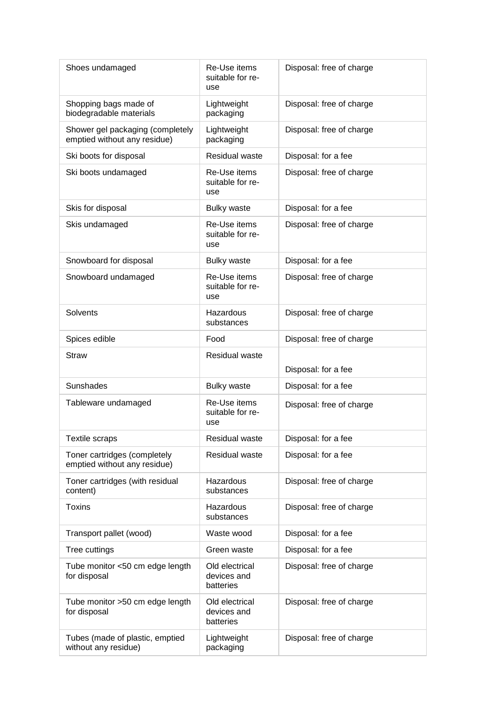| Shoes undamaged                                                  | Re-Use items<br>suitable for re-<br>use    | Disposal: free of charge |
|------------------------------------------------------------------|--------------------------------------------|--------------------------|
| Shopping bags made of<br>biodegradable materials                 | Lightweight<br>packaging                   | Disposal: free of charge |
| Shower gel packaging (completely<br>emptied without any residue) | Lightweight<br>packaging                   | Disposal: free of charge |
| Ski boots for disposal                                           | Residual waste                             | Disposal: for a fee      |
| Ski boots undamaged                                              | Re-Use items<br>suitable for re-<br>use    | Disposal: free of charge |
| Skis for disposal                                                | <b>Bulky waste</b>                         | Disposal: for a fee      |
| Skis undamaged                                                   | Re-Use items<br>suitable for re-<br>use    | Disposal: free of charge |
| Snowboard for disposal                                           | <b>Bulky waste</b>                         | Disposal: for a fee      |
| Snowboard undamaged                                              | Re-Use items<br>suitable for re-<br>use    | Disposal: free of charge |
| Solvents                                                         | Hazardous<br>substances                    | Disposal: free of charge |
| Spices edible                                                    | Food                                       | Disposal: free of charge |
| <b>Straw</b>                                                     | Residual waste                             | Disposal: for a fee      |
| Sunshades                                                        | <b>Bulky waste</b>                         | Disposal: for a fee      |
| Tableware undamaged                                              | Re-Use items<br>suitable for re-<br>use    | Disposal: free of charge |
| <b>Textile scraps</b>                                            | Residual waste                             | Disposal: for a fee      |
| Toner cartridges (completely<br>emptied without any residue)     | Residual waste                             | Disposal: for a fee      |
| Toner cartridges (with residual<br>content)                      | Hazardous<br>substances                    | Disposal: free of charge |
| <b>Toxins</b>                                                    | Hazardous<br>substances                    | Disposal: free of charge |
| Transport pallet (wood)                                          | Waste wood                                 | Disposal: for a fee      |
| Tree cuttings                                                    | Green waste                                | Disposal: for a fee      |
| Tube monitor <50 cm edge length<br>for disposal                  | Old electrical<br>devices and<br>batteries | Disposal: free of charge |
| Tube monitor >50 cm edge length<br>for disposal                  | Old electrical<br>devices and<br>batteries | Disposal: free of charge |
| Tubes (made of plastic, emptied<br>without any residue)          | Lightweight<br>packaging                   | Disposal: free of charge |